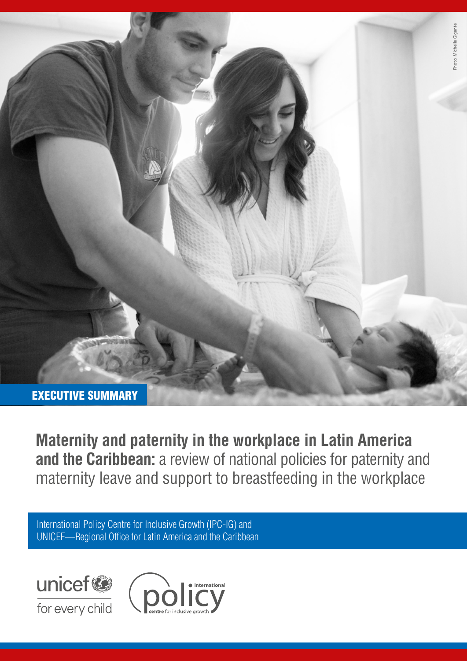

**Maternity and paternity in the workplace in Latin America**  and the **Caribbean:** a review of national policies for paternity and maternity leave and support to breastfeeding in the workplace

International Policy Centre for Inclusive Growth (IPC-IG) and UNICEF—Regional Office for Latin America and the Caribbean



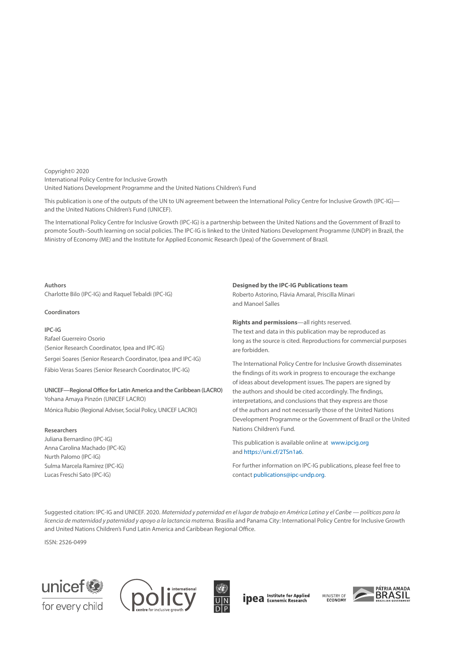Copyright© 2020 International Policy Centre for Inclusive Growth United Nations Development Programme and the United Nations Children's Fund

This publication is one of the outputs of the UN to UN agreement between the International Policy Centre for Inclusive Growth (IPC-IG) and the United Nations Children's Fund (UNICEF).

The International Policy Centre for Inclusive Growth (IPC-IG) is a partnership between the United Nations and the Government of Brazil to promote South–South learning on social policies. The IPC-IG is linked to the United Nations Development Programme (UNDP) in Brazil, the Ministry of Economy (ME) and the Institute for Applied Economic Research (Ipea) of the Government of Brazil.

#### **Authors**

Charlotte Bilo (IPC-IG) and Raquel Tebaldi (IPC-IG)

#### **Coordinators**

**IPC-IG** Rafael Guerreiro Osorio (Senior Research Coordinator, Ipea and IPC-IG) Sergei Soares (Senior Research Coordinator, Ipea and IPC-IG) Fábio Veras Soares (Senior Research Coordinator, IPC-IG)

#### **UNICEF—Regional Office for Latin America and the Caribbean (LACRO)** Yohana Amaya Pinzón (UNICEF LACRO)

Mónica Rubio (Regional Adviser, Social Policy, UNICEF LACRO)

#### **Researchers**

Juliana Bernardino (IPC-IG) Anna Carolina Machado (IPC-IG) Nurth Palomo (IPC-IG) Sulma Marcela Ramírez (IPC-IG) Lucas Freschi Sato (IPC-IG)

#### **Designed by the IPC-IG Publications team**

Roberto Astorino, Flávia Amaral, Priscilla Minari and Manoel Salles

**Rights and permissions**—all rights reserved. The text and data in this publication may be reproduced as long as the source is cited. Reproductions for commercial purposes are forbidden.

The International Policy Centre for Inclusive Growth disseminates the findings of its work in progress to encourage the exchange of ideas about development issues. The papers are signed by the authors and should be cited accordingly. The findings, interpretations, and conclusions that they express are those of the authors and not necessarily those of the United Nations Development Programme or the Government of Brazil or the United Nations Children's Fund.

This publication is available online at [www.ipcig.org](http://www.ipcig.org) and<https://uni.cf/2TSn1a6>.

For further information on IPC-IG publications, please feel free to contact [publications@ipc-undp.org.](mailto: publications@ipc-undp.org)

Suggested citation: IPC-IG and UNICEF. 2020. *Maternidad y paternidad en el lugar de trabajo en América Latina y el Caribe — políticas para la licencia de maternidad y paternidad y apoyo a la lactancia materna*. Brasilia and Panama City: International Policy Centre for Inclusive Growth and United Nations Children's Fund Latin America and Caribbean Regional Office.

ISSN: 2526-0499







**ipea** Institute for Applied

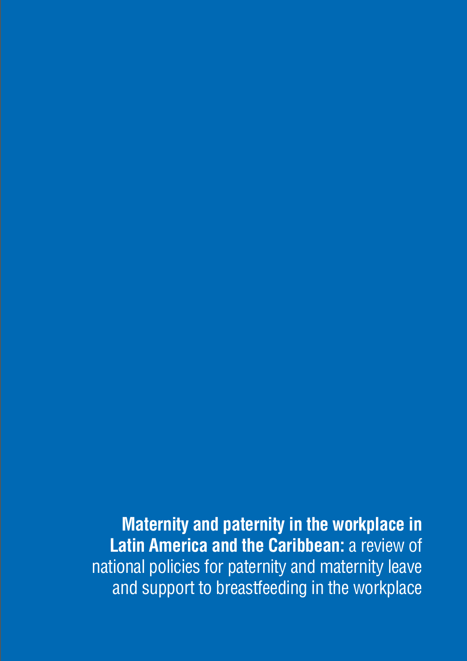**Maternity and paternity in the workplace in Latin America and the Caribbean:** a review of national policies for paternity and maternity leave and support to breastfeeding in the workplace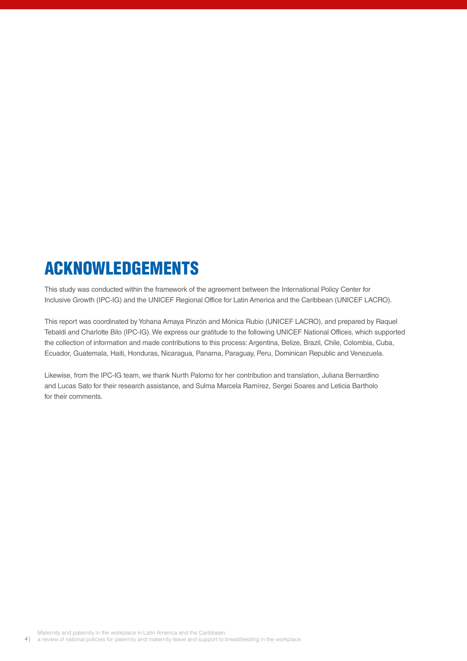# ACKNOWLEDGEMENTS

This study was conducted within the framework of the agreement between the International Policy Center for Inclusive Growth (IPC-IG) and the UNICEF Regional Office for Latin America and the Caribbean (UNICEF LACRO).

This report was coordinated by Yohana Amaya Pinzón and Mónica Rubio (UNICEF LACRO), and prepared by Raquel Tebaldi and Charlotte Bilo (IPC-IG). We express our gratitude to the following UNICEF National Offices, which supported the collection of information and made contributions to this process: Argentina, Belize, Brazil, Chile, Colombia, Cuba, Ecuador, Guatemala, Haiti, Honduras, Nicaragua, Panama, Paraguay, Peru, Dominican Republic and Venezuela.

Likewise, from the IPC-IG team, we thank Nurth Palomo for her contribution and translation, Juliana Bernardino and Lucas Sato for their research assistance, and Sulma Marcela Ramírez, Sergei Soares and Leticia Bartholo for their comments.

Maternity and paternity in the workplace in Latin America and the Caribbean:

4 | a review of national policies for paternity and maternity leave and support to breastfeeding in the workplace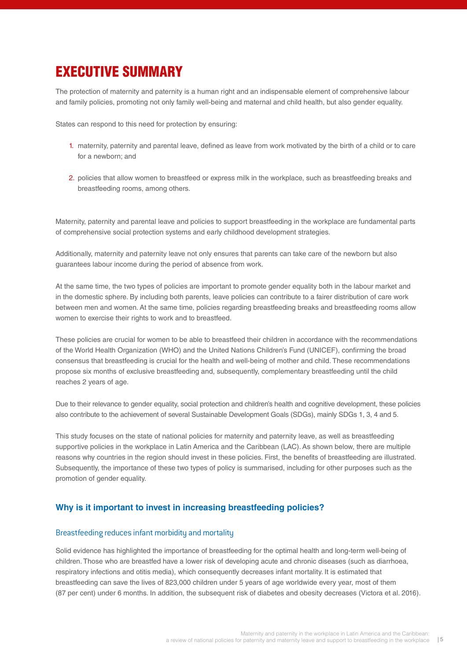## EXECUTIVE SUMMARY

The protection of maternity and paternity is a human right and an indispensable element of comprehensive labour and family policies, promoting not only family well-being and maternal and child health, but also gender equality.

States can respond to this need for protection by ensuring:

- 1. maternity, paternity and parental leave, defined as leave from work motivated by the birth of a child or to care for a newborn; and
- 2. policies that allow women to breastfeed or express milk in the workplace, such as breastfeeding breaks and breastfeeding rooms, among others.

Maternity, paternity and parental leave and policies to support breastfeeding in the workplace are fundamental parts of comprehensive social protection systems and early childhood development strategies.

Additionally, maternity and paternity leave not only ensures that parents can take care of the newborn but also guarantees labour income during the period of absence from work.

At the same time, the two types of policies are important to promote gender equality both in the labour market and in the domestic sphere. By including both parents, leave policies can contribute to a fairer distribution of care work between men and women. At the same time, policies regarding breastfeeding breaks and breastfeeding rooms allow women to exercise their rights to work and to breastfeed.

These policies are crucial for women to be able to breastfeed their children in accordance with the recommendations of the World Health Organization (WHO) and the United Nations Children's Fund (UNICEF), confirming the broad consensus that breastfeeding is crucial for the health and well-being of mother and child. These recommendations propose six months of exclusive breastfeeding and, subsequently, complementary breastfeeding until the child reaches 2 years of age.

Due to their relevance to gender equality, social protection and children's health and cognitive development, these policies also contribute to the achievement of several Sustainable Development Goals (SDGs), mainly SDGs 1, 3, 4 and 5.

This study focuses on the state of national policies for maternity and paternity leave, as well as breastfeeding supportive policies in the workplace in Latin America and the Caribbean (LAC). As shown below, there are multiple reasons why countries in the region should invest in these policies. First, the benefits of breastfeeding are illustrated. Subsequently, the importance of these two types of policy is summarised, including for other purposes such as the promotion of gender equality.

## **Why is it important to invest in increasing breastfeeding policies?**

#### Breastfeeding reduces infant morbidity and mortality

Solid evidence has highlighted the importance of breastfeeding for the optimal health and long-term well-being of children. Those who are breastfed have a lower risk of developing acute and chronic diseases (such as diarrhoea, respiratory infections and otitis media), which consequently decreases infant mortality. It is estimated that breastfeeding can save the lives of 823,000 children under 5 years of age worldwide every year, most of them (87 per cent) under 6 months. In addition, the subsequent risk of diabetes and obesity decreases (Victora et al. 2016).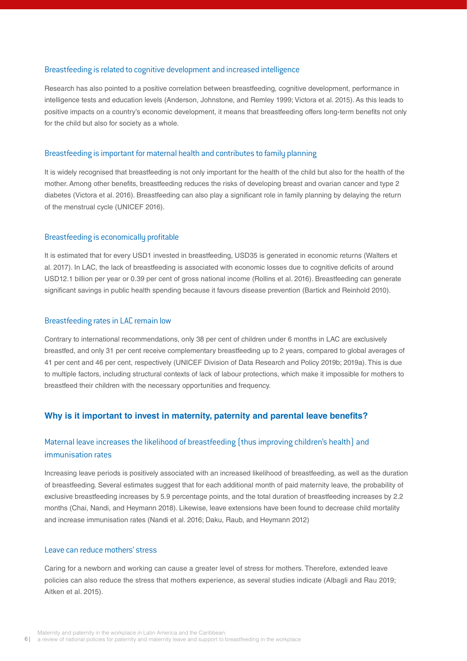#### Breastfeeding is related to cognitive development and increased intelligence

Research has also pointed to a positive correlation between breastfeeding, cognitive development, performance in intelligence tests and education levels (Anderson, Johnstone, and Remley 1999; Victora et al. 2015). As this leads to positive impacts on a country's economic development, it means that breastfeeding offers long-term benefits not only for the child but also for society as a whole.

#### Breastfeeding is important for maternal health and contributes to family planning

It is widely recognised that breastfeeding is not only important for the health of the child but also for the health of the mother. Among other benefits, breastfeeding reduces the risks of developing breast and ovarian cancer and type 2 diabetes (Victora et al. 2016). Breastfeeding can also play a significant role in family planning by delaying the return of the menstrual cycle (UNICEF 2016).

#### Breastfeeding is economically profitable

It is estimated that for every USD1 invested in breastfeeding, USD35 is generated in economic returns (Walters et al. 2017). In LAC, the lack of breastfeeding is associated with economic losses due to cognitive deficits of around USD12.1 billion per year or 0.39 per cent of gross national income (Rollins et al. 2016). Breastfeeding can generate significant savings in public health spending because it favours disease prevention (Bartick and Reinhold 2010).

#### Breastfeeding rates in LAC remain low

Contrary to international recommendations, only 38 per cent of children under 6 months in LAC are exclusively breastfed, and only 31 per cent receive complementary breastfeeding up to 2 years, compared to global averages of 41 per cent and 46 per cent, respectively (UNICEF Division of Data Research and Policy 2019b; 2019a). This is due to multiple factors, including structural contexts of lack of labour protections, which make it impossible for mothers to breastfeed their children with the necessary opportunities and frequency.

#### **Why is it important to invest in maternity, paternity and parental leave benefits?**

## Maternal leave increases the likelihood of breastfeeding (thus improving children's health) and immunisation rates

Increasing leave periods is positively associated with an increased likelihood of breastfeeding, as well as the duration of breastfeeding. Several estimates suggest that for each additional month of paid maternity leave, the probability of exclusive breastfeeding increases by 5.9 percentage points, and the total duration of breastfeeding increases by 2.2 months (Chai, Nandi, and Heymann 2018). Likewise, leave extensions have been found to decrease child mortality and increase immunisation rates (Nandi et al. 2016; Daku, Raub, and Heymann 2012)

## Leave can reduce mothers' stress

Caring for a newborn and working can cause a greater level of stress for mothers. Therefore, extended leave policies can also reduce the stress that mothers experience, as several studies indicate (Albagli and Rau 2019; Aitken et al. 2015).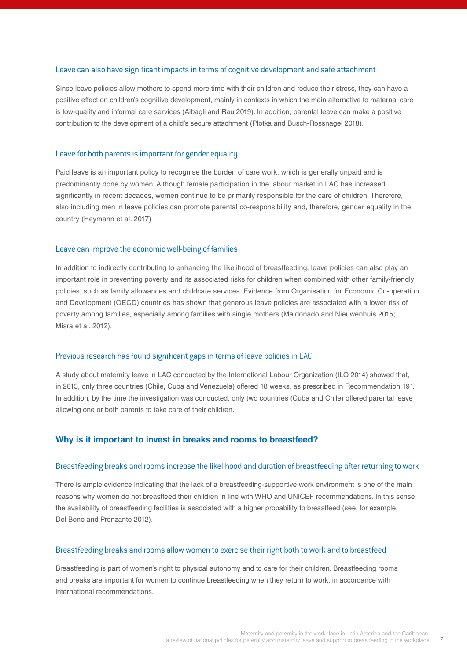#### Leave can also have significant impacts in terms of cognitive development and safe attachment

Since leave policies allow mothers to spend more time with their children and reduce their stress, they can have a positive effect on children's cognitive development, mainly in contexts in which the main alternative to maternal care is low-quality and informal care services (Albagli and Rau 2019). In addition, parental leave can make a positive contribution to the development of a child's secure attachment (Plotka and Busch-Rossnagel 2018).

#### Leave for both parents is important for gender equality

Paid leave is an important policy to recognise the burden of care work, which is generally unpaid and is predominantly done by women. Although female participation in the labour market in LAC has increased significantly in recent decades, women continue to be primarily responsible for the care of children. Therefore, also including men in leave policies can promote parental co-responsibility and, therefore, gender equality in the country (Heymann et al. 2017)

#### Leave can improve the economic well-being of families

In addition to indirectly contributing to enhancing the likelihood of breastfeeding, leave policies can also play an important role in preventing poverty and its associated risks for children when combined with other family-friendly policies, such as family allowances and childcare services. Evidence from Organisation for Economic Co-operation and Development (OECD) countries has shown that generous leave policies are associated with a lower risk of poverty among families, especially among families with single mothers (Maldonado and Nieuwenhuis 2015; Misra et al. 2012).

## Previous research has found significant gaps in terms of leave policies in LAC

A study about maternity leave in LAC conducted by the International Labour Organization (ILO 2014) showed that, in 2013, only three countries (Chile, Cuba and Venezuela) offered 18 weeks, as prescribed in Recommendation 191. In addition, by the time the investigation was conducted, only two countries (Cuba and Chile) offered parental leave allowing one or both parents to take care of their children.

## **Why is it important to invest in breaks and rooms to breastfeed?**

#### Breastfeeding breaks and rooms increase the likelihood and duration of breastfeeding after returning to work

There is ample evidence indicating that the lack of a breastfeeding-supportive work environment is one of the main reasons why women do not breastfeed their children in line with WHO and UNICEF recommendations. In this sense, the availability of breastfeeding facilities is associated with a higher probability to breastfeed (see, for example, Del Bono and Pronzanto 2012).

#### Breastfeeding breaks and rooms allow women to exercise their right both to work and to breastfeed

Breastfeeding is part of women's right to physical autonomy and to care for their children. Breastfeeding rooms and breaks are important for women to continue breastfeeding when they return to work, in accordance with international recommendations.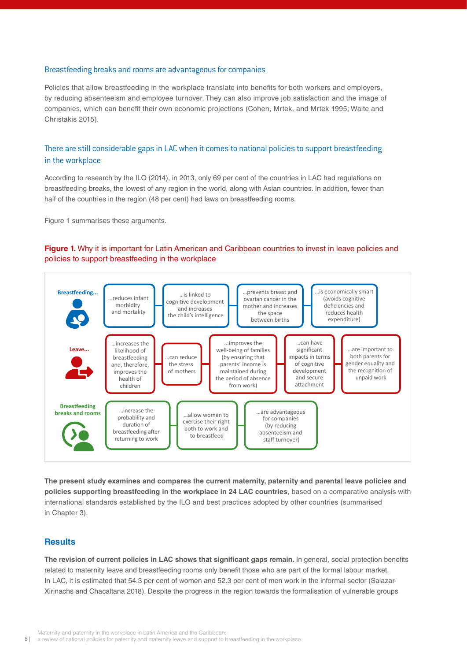#### Breastfeeding breaks and rooms are advantageous for companies

Policies that allow breastfeeding in the workplace translate into benefits for both workers and employers, by reducing absenteeism and employee turnover. They can also improve job satisfaction and the image of companies, which can benefit their own economic projections (Cohen, Mrtek, and Mrtek 1995; Waite and Christakis 2015).

## There are still considerable gaps in LAC when it comes to national policies to support breastfeeding in the workplace

According to research by the ILO (2014), in 2013, only 69 per cent of the countries in LAC had regulations on breastfeeding breaks, the lowest of any region in the world, along with Asian countries. In addition, fewer than half of the countries in the region (48 per cent) had laws on breastfeeding rooms.

Figure 1 summarises these arguments.

## **Figure 1.** Why it is important for Latin American and Caribbean countries to invest in leave policies and policies to support breastfeeding in the workplace



**The present study examines and compares the current maternity, paternity and parental leave policies and policies supporting breastfeeding in the workplace in 24 LAC countries**, based on a comparative analysis with international standards established by the ILO and best practices adopted by other countries (summarised in Chapter 3).

#### **Results**

**The revision of current policies in LAC shows that significant gaps remain.** In general, social protection benefits related to maternity leave and breastfeeding rooms only benefit those who are part of the formal labour market. In LAC, it is estimated that 54.3 per cent of women and 52.3 per cent of men work in the informal sector (Salazar-Xirinachs and Chacaltana 2018). Despite the progress in the region towards the formalisation of vulnerable groups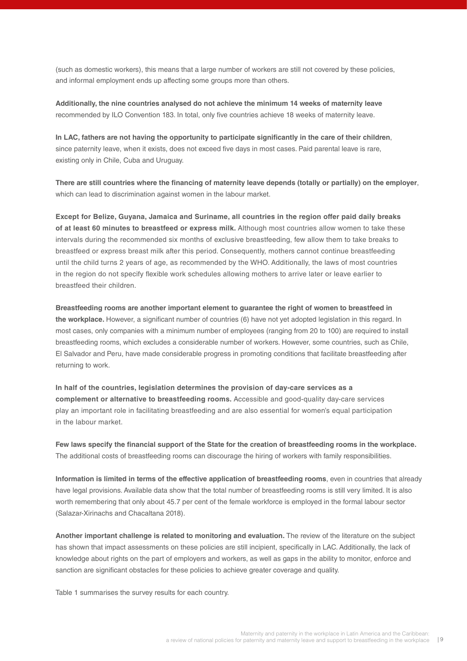(such as domestic workers), this means that a large number of workers are still not covered by these policies, and informal employment ends up affecting some groups more than others.

**Additionally, the nine countries analysed do not achieve the minimum 14 weeks of maternity leave** recommended by ILO Convention 183. In total, only five countries achieve 18 weeks of maternity leave.

**In LAC, fathers are not having the opportunity to participate significantly in the care of their children**, since paternity leave, when it exists, does not exceed five days in most cases. Paid parental leave is rare, existing only in Chile, Cuba and Uruguay.

**There are still countries where the financing of maternity leave depends (totally or partially) on the employer**, which can lead to discrimination against women in the labour market.

**Except for Belize, Guyana, Jamaica and Suriname, all countries in the region offer paid daily breaks of at least 60 minutes to breastfeed or express milk.** Although most countries allow women to take these intervals during the recommended six months of exclusive breastfeeding, few allow them to take breaks to breastfeed or express breast milk after this period. Consequently, mothers cannot continue breastfeeding until the child turns 2 years of age, as recommended by the WHO. Additionally, the laws of most countries in the region do not specify flexible work schedules allowing mothers to arrive later or leave earlier to breastfeed their children.

**Breastfeeding rooms are another important element to guarantee the right of women to breastfeed in the workplace.** However, a significant number of countries (6) have not yet adopted legislation in this regard. In most cases, only companies with a minimum number of employees (ranging from 20 to 100) are required to install breastfeeding rooms, which excludes a considerable number of workers. However, some countries, such as Chile, El Salvador and Peru, have made considerable progress in promoting conditions that facilitate breastfeeding after returning to work.

**In half of the countries, legislation determines the provision of day-care services as a complement or alternative to breastfeeding rooms.** Accessible and good-quality day-care services play an important role in facilitating breastfeeding and are also essential for women's equal participation in the labour market.

**Few laws specify the financial support of the State for the creation of breastfeeding rooms in the workplace.**  The additional costs of breastfeeding rooms can discourage the hiring of workers with family responsibilities.

**Information is limited in terms of the effective application of breastfeeding rooms**, even in countries that already have legal provisions. Available data show that the total number of breastfeeding rooms is still very limited. It is also worth remembering that only about 45.7 per cent of the female workforce is employed in the formal labour sector (Salazar-Xirinachs and Chacaltana 2018).

**Another important challenge is related to monitoring and evaluation.** The review of the literature on the subject has shown that impact assessments on these policies are still incipient, specifically in LAC. Additionally, the lack of knowledge about rights on the part of employers and workers, as well as gaps in the ability to monitor, enforce and sanction are significant obstacles for these policies to achieve greater coverage and quality.

Table 1 summarises the survey results for each country.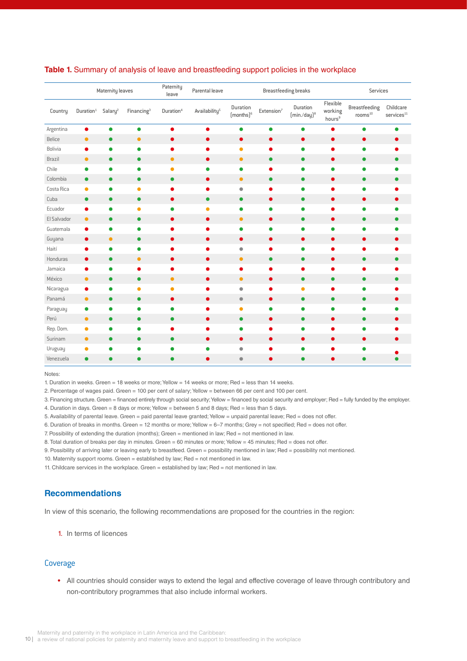| Flexible<br>Duration<br><b>Breastfeeding</b><br>Duration<br>Salary <sup>2</sup><br>Duration <sup>4</sup><br>Availability <sup>5</sup><br>working<br>Duration <sup>1</sup><br>Financing <sup>3</sup><br>Extension <sup>7</sup><br>Country<br>$[$ months $]$ <sup>6</sup><br>$(min/day)^8$<br>rooms <sup>10</sup><br>hours <sup>9</sup><br>Argentina<br>$\bullet$<br>$\bullet$<br>$\bullet$<br>$\bullet$<br>$\bullet$<br>$\bullet$<br>●<br>●<br><b>Belice</b><br>$\bullet$<br>$\bullet$<br>$\bullet$<br>$\bullet$<br>$\bullet$<br>$\bullet$<br>$\bullet$<br>$\bullet$<br>●<br>Bolivia<br>$\bullet$<br>$\bullet$<br>$\bullet$<br>$\bullet$<br>$\bullet$<br>0<br>$\bullet$<br>$\bullet$<br>O<br>O<br>Brazil<br>$\bullet$<br>$\bullet$<br>$\bullet$<br>$\bullet$<br>$\bullet$<br>$\bullet$<br>$\bullet$<br>$\bullet$<br>$\bullet$<br>$\bullet$<br>Chile<br>$\bullet$<br>$\bullet$<br>$\bullet$<br>$\bullet$<br>$\bullet$<br>$\bullet$<br>$\bullet$<br>٠<br>$\bullet$<br>0<br>Colombia<br>$\bullet$<br>$\bullet$<br>$\bullet$<br>$\bullet$<br>$\bullet$<br>$\bullet$<br>$\bullet$<br>$\bullet$<br>$\bullet$<br>$\bullet$<br>Costa Rica<br>$\bullet$<br>$\bullet$<br>$\bullet$<br>$\bullet$<br>$\bullet$<br>٠<br>۰<br>O<br>0<br>Cuba<br>$\bullet$<br>$\bullet$<br>$\bullet$<br>$\bullet$<br>$\bullet$<br>$\bullet$<br>$\bullet$<br>$\bullet$<br>$\bullet$<br>$\bullet$<br>Ecuador<br>$\bullet$<br>$\bullet$<br>$\bullet$<br>$\bullet$<br>$\bullet$<br>٠<br>٠<br>El Salvador<br>$\bullet$<br>$\bullet$<br>$\bullet$<br>$\bullet$<br>$\bullet$<br>$\bullet$<br>$\bullet$<br>$\bullet$<br>$\bullet$<br>$\bullet$<br>Guatemala<br>$\bullet$<br>$\bullet$<br>$\bullet$<br>O<br>0<br>0<br>Guyana<br>$\bullet$<br>$\bullet$<br>$\bullet$<br>$\bullet$<br>$\bullet$<br>$\bullet$<br>0<br>$\bullet$<br>$\bullet$<br>Haití<br>$\bullet$<br>$\bullet$<br>$\bullet$<br>$\bullet$<br>0<br>$\bullet$<br>٠<br>O<br>0<br>Honduras<br>$\bullet$<br>$\bullet$<br>$\bullet$<br>$\bullet$<br>$\bullet$<br>$\bullet$<br>$\bullet$<br>$\bullet$<br>$\bullet$<br>0 | Childcare<br>$\mbox{services}^{\mbox{\scriptsize 11}}$ |
|--------------------------------------------------------------------------------------------------------------------------------------------------------------------------------------------------------------------------------------------------------------------------------------------------------------------------------------------------------------------------------------------------------------------------------------------------------------------------------------------------------------------------------------------------------------------------------------------------------------------------------------------------------------------------------------------------------------------------------------------------------------------------------------------------------------------------------------------------------------------------------------------------------------------------------------------------------------------------------------------------------------------------------------------------------------------------------------------------------------------------------------------------------------------------------------------------------------------------------------------------------------------------------------------------------------------------------------------------------------------------------------------------------------------------------------------------------------------------------------------------------------------------------------------------------------------------------------------------------------------------------------------------------------------------------------------------------------------------------------------------------------------------------------------------------------------------------------------------------------------------------------------------------------------------------------------------------------------------------------------------------------------------------------|--------------------------------------------------------|
|                                                                                                                                                                                                                                                                                                                                                                                                                                                                                                                                                                                                                                                                                                                                                                                                                                                                                                                                                                                                                                                                                                                                                                                                                                                                                                                                                                                                                                                                                                                                                                                                                                                                                                                                                                                                                                                                                                                                                                                                                                      |                                                        |
|                                                                                                                                                                                                                                                                                                                                                                                                                                                                                                                                                                                                                                                                                                                                                                                                                                                                                                                                                                                                                                                                                                                                                                                                                                                                                                                                                                                                                                                                                                                                                                                                                                                                                                                                                                                                                                                                                                                                                                                                                                      |                                                        |
|                                                                                                                                                                                                                                                                                                                                                                                                                                                                                                                                                                                                                                                                                                                                                                                                                                                                                                                                                                                                                                                                                                                                                                                                                                                                                                                                                                                                                                                                                                                                                                                                                                                                                                                                                                                                                                                                                                                                                                                                                                      |                                                        |
|                                                                                                                                                                                                                                                                                                                                                                                                                                                                                                                                                                                                                                                                                                                                                                                                                                                                                                                                                                                                                                                                                                                                                                                                                                                                                                                                                                                                                                                                                                                                                                                                                                                                                                                                                                                                                                                                                                                                                                                                                                      |                                                        |
|                                                                                                                                                                                                                                                                                                                                                                                                                                                                                                                                                                                                                                                                                                                                                                                                                                                                                                                                                                                                                                                                                                                                                                                                                                                                                                                                                                                                                                                                                                                                                                                                                                                                                                                                                                                                                                                                                                                                                                                                                                      |                                                        |
|                                                                                                                                                                                                                                                                                                                                                                                                                                                                                                                                                                                                                                                                                                                                                                                                                                                                                                                                                                                                                                                                                                                                                                                                                                                                                                                                                                                                                                                                                                                                                                                                                                                                                                                                                                                                                                                                                                                                                                                                                                      |                                                        |
|                                                                                                                                                                                                                                                                                                                                                                                                                                                                                                                                                                                                                                                                                                                                                                                                                                                                                                                                                                                                                                                                                                                                                                                                                                                                                                                                                                                                                                                                                                                                                                                                                                                                                                                                                                                                                                                                                                                                                                                                                                      |                                                        |
|                                                                                                                                                                                                                                                                                                                                                                                                                                                                                                                                                                                                                                                                                                                                                                                                                                                                                                                                                                                                                                                                                                                                                                                                                                                                                                                                                                                                                                                                                                                                                                                                                                                                                                                                                                                                                                                                                                                                                                                                                                      |                                                        |
|                                                                                                                                                                                                                                                                                                                                                                                                                                                                                                                                                                                                                                                                                                                                                                                                                                                                                                                                                                                                                                                                                                                                                                                                                                                                                                                                                                                                                                                                                                                                                                                                                                                                                                                                                                                                                                                                                                                                                                                                                                      |                                                        |
|                                                                                                                                                                                                                                                                                                                                                                                                                                                                                                                                                                                                                                                                                                                                                                                                                                                                                                                                                                                                                                                                                                                                                                                                                                                                                                                                                                                                                                                                                                                                                                                                                                                                                                                                                                                                                                                                                                                                                                                                                                      |                                                        |
|                                                                                                                                                                                                                                                                                                                                                                                                                                                                                                                                                                                                                                                                                                                                                                                                                                                                                                                                                                                                                                                                                                                                                                                                                                                                                                                                                                                                                                                                                                                                                                                                                                                                                                                                                                                                                                                                                                                                                                                                                                      | ●                                                      |
|                                                                                                                                                                                                                                                                                                                                                                                                                                                                                                                                                                                                                                                                                                                                                                                                                                                                                                                                                                                                                                                                                                                                                                                                                                                                                                                                                                                                                                                                                                                                                                                                                                                                                                                                                                                                                                                                                                                                                                                                                                      |                                                        |
|                                                                                                                                                                                                                                                                                                                                                                                                                                                                                                                                                                                                                                                                                                                                                                                                                                                                                                                                                                                                                                                                                                                                                                                                                                                                                                                                                                                                                                                                                                                                                                                                                                                                                                                                                                                                                                                                                                                                                                                                                                      |                                                        |
|                                                                                                                                                                                                                                                                                                                                                                                                                                                                                                                                                                                                                                                                                                                                                                                                                                                                                                                                                                                                                                                                                                                                                                                                                                                                                                                                                                                                                                                                                                                                                                                                                                                                                                                                                                                                                                                                                                                                                                                                                                      |                                                        |
|                                                                                                                                                                                                                                                                                                                                                                                                                                                                                                                                                                                                                                                                                                                                                                                                                                                                                                                                                                                                                                                                                                                                                                                                                                                                                                                                                                                                                                                                                                                                                                                                                                                                                                                                                                                                                                                                                                                                                                                                                                      |                                                        |
| Jamaica<br>$\bullet$<br>$\bullet$<br>$\bullet$<br>$\bullet$                                                                                                                                                                                                                                                                                                                                                                                                                                                                                                                                                                                                                                                                                                                                                                                                                                                                                                                                                                                                                                                                                                                                                                                                                                                                                                                                                                                                                                                                                                                                                                                                                                                                                                                                                                                                                                                                                                                                                                          |                                                        |
| México<br>$\bullet$<br>$\bullet$<br>$\bullet$<br>$\bullet$<br>$\bullet$<br>$\bullet$<br>$\bullet$<br>$\bullet$<br>$\bullet$<br>$\bullet$                                                                                                                                                                                                                                                                                                                                                                                                                                                                                                                                                                                                                                                                                                                                                                                                                                                                                                                                                                                                                                                                                                                                                                                                                                                                                                                                                                                                                                                                                                                                                                                                                                                                                                                                                                                                                                                                                             |                                                        |
| Nicaragua<br>$\bullet$<br>$\bullet$<br>$\bullet$<br>$\bullet$<br>$\bullet$<br>$\bullet$<br>$\bullet$<br>O<br>O                                                                                                                                                                                                                                                                                                                                                                                                                                                                                                                                                                                                                                                                                                                                                                                                                                                                                                                                                                                                                                                                                                                                                                                                                                                                                                                                                                                                                                                                                                                                                                                                                                                                                                                                                                                                                                                                                                                       |                                                        |
| Panamá<br>$\bullet$<br>$\bullet$<br>$\bullet$<br>$\bullet$<br>$\bullet$<br>$\bullet$<br>$\bullet$<br>$\bullet$<br>$\bullet$                                                                                                                                                                                                                                                                                                                                                                                                                                                                                                                                                                                                                                                                                                                                                                                                                                                                                                                                                                                                                                                                                                                                                                                                                                                                                                                                                                                                                                                                                                                                                                                                                                                                                                                                                                                                                                                                                                          |                                                        |
| Paraguay<br>$\bullet$<br>٠<br>$\bullet$<br>$\bullet$<br>0<br>●<br>●<br>●<br>O<br>o                                                                                                                                                                                                                                                                                                                                                                                                                                                                                                                                                                                                                                                                                                                                                                                                                                                                                                                                                                                                                                                                                                                                                                                                                                                                                                                                                                                                                                                                                                                                                                                                                                                                                                                                                                                                                                                                                                                                                   |                                                        |
| Perú<br>$\bullet$<br>$\bullet$<br>$\bullet$<br>$\bullet$<br>$\bullet$<br>$\bullet$<br>$\bullet$<br>$\bullet$<br>$\bullet$<br>$\bullet$                                                                                                                                                                                                                                                                                                                                                                                                                                                                                                                                                                                                                                                                                                                                                                                                                                                                                                                                                                                                                                                                                                                                                                                                                                                                                                                                                                                                                                                                                                                                                                                                                                                                                                                                                                                                                                                                                               |                                                        |
| Rep. Dom.<br>$\bullet$<br>$\bullet$<br>$\bullet$<br>$\bullet$<br>0<br>٠<br>۰<br>O                                                                                                                                                                                                                                                                                                                                                                                                                                                                                                                                                                                                                                                                                                                                                                                                                                                                                                                                                                                                                                                                                                                                                                                                                                                                                                                                                                                                                                                                                                                                                                                                                                                                                                                                                                                                                                                                                                                                                    |                                                        |
| Surinam<br>$\bullet$<br>$\bullet$<br>$\bullet$<br>$\bullet$<br>$\bullet$<br>$\bullet$<br>$\bullet$<br>$\bullet$<br>$\bullet$<br>$\bullet$                                                                                                                                                                                                                                                                                                                                                                                                                                                                                                                                                                                                                                                                                                                                                                                                                                                                                                                                                                                                                                                                                                                                                                                                                                                                                                                                                                                                                                                                                                                                                                                                                                                                                                                                                                                                                                                                                            |                                                        |
| Uruguay<br>$\bullet$<br>$\bullet$<br>$\bullet$<br>$\bullet$<br>0<br>0                                                                                                                                                                                                                                                                                                                                                                                                                                                                                                                                                                                                                                                                                                                                                                                                                                                                                                                                                                                                                                                                                                                                                                                                                                                                                                                                                                                                                                                                                                                                                                                                                                                                                                                                                                                                                                                                                                                                                                |                                                        |
| Venezuela<br>$\bullet$<br>€<br>$\bullet$<br>$\bullet$<br>Q<br>●                                                                                                                                                                                                                                                                                                                                                                                                                                                                                                                                                                                                                                                                                                                                                                                                                                                                                                                                                                                                                                                                                                                                                                                                                                                                                                                                                                                                                                                                                                                                                                                                                                                                                                                                                                                                                                                                                                                                                                      |                                                        |

#### **Table 1.** Summary of analysis of leave and breastfeeding support policies in the workplace

Notes:

1. Duration in weeks. Green = 18 weeks or more; Yellow = 14 weeks or more; Red = less than 14 weeks.

2. Percentage of wages paid. Green = 100 per cent of salary; Yellow = between 66 per cent and 100 per cent.

3. Financing structure. Green = financed entirely through social security; Yellow = financed by social security and employer; Red = fully funded by the employer. 4. Duration in days. Green = 8 days or more; Yellow = between 5 and 8 days; Red = less than 5 days.

5. Availability of parental leave. Green = paid parental leave granted; Yellow = unpaid parental leave; Red = does not offer.

6. Duration of breaks in months. Green = 12 months or more; Yellow = 6–7 months; Grey = not specified; Red = does not offer.

7. Possibility of extending the duration (months); Green = mentioned in law; Red = not mentioned in law.

8. Total duration of breaks per day in minutes. Green = 60 minutes or more; Yellow = 45 minutes; Red = does not offer.

9. Possibility of arriving later or leaving early to breastfeed. Green = possibility mentioned in law; Red = possibility not mentioned.

10. Maternity support rooms. Green = established by law; Red = not mentioned in law.

11. Childcare services in the workplace. Green = established by law; Red = not mentioned in law.

## **Recommendations**

In view of this scenario, the following recommendations are proposed for the countries in the region:

1. In terms of licences

## Coverage

• All countries should consider ways to extend the legal and effective coverage of leave through contributory and non-contributory programmes that also include informal workers.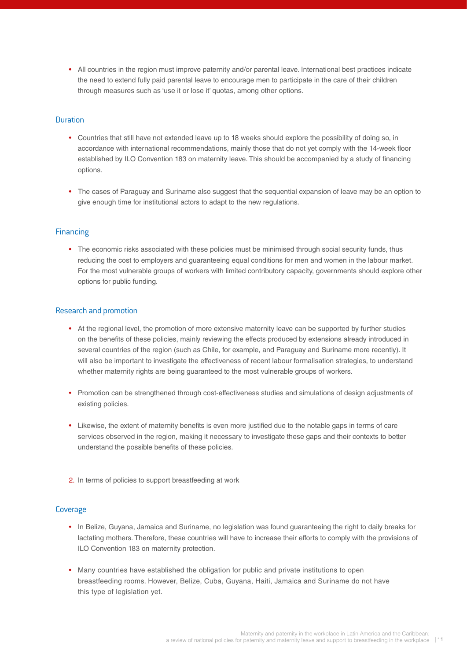• All countries in the region must improve paternity and/or parental leave. International best practices indicate the need to extend fully paid parental leave to encourage men to participate in the care of their children through measures such as 'use it or lose it' quotas, among other options.

## Duration

- Countries that still have not extended leave up to 18 weeks should explore the possibility of doing so, in accordance with international recommendations, mainly those that do not yet comply with the 14-week floor established by ILO Convention 183 on maternity leave. This should be accompanied by a study of financing options.
- The cases of Paraguay and Suriname also suggest that the sequential expansion of leave may be an option to give enough time for institutional actors to adapt to the new regulations.

#### **Financing**

• The economic risks associated with these policies must be minimised through social security funds, thus reducing the cost to employers and guaranteeing equal conditions for men and women in the labour market. For the most vulnerable groups of workers with limited contributory capacity, governments should explore other options for public funding.

#### Research and promotion

- At the regional level, the promotion of more extensive maternity leave can be supported by further studies on the benefits of these policies, mainly reviewing the effects produced by extensions already introduced in several countries of the region (such as Chile, for example, and Paraguay and Suriname more recently). It will also be important to investigate the effectiveness of recent labour formalisation strategies, to understand whether maternity rights are being guaranteed to the most vulnerable groups of workers.
- Promotion can be strengthened through cost-effectiveness studies and simulations of design adjustments of existing policies.
- Likewise, the extent of maternity benefits is even more justified due to the notable gaps in terms of care services observed in the region, making it necessary to investigate these gaps and their contexts to better understand the possible benefits of these policies.
- 2. In terms of policies to support breastfeeding at work

## Coverage

- In Belize, Guyana, Jamaica and Suriname, no legislation was found guaranteeing the right to daily breaks for lactating mothers. Therefore, these countries will have to increase their efforts to comply with the provisions of ILO Convention 183 on maternity protection.
- Many countries have established the obligation for public and private institutions to open breastfeeding rooms. However, Belize, Cuba, Guyana, Haiti, Jamaica and Suriname do not have this type of legislation yet.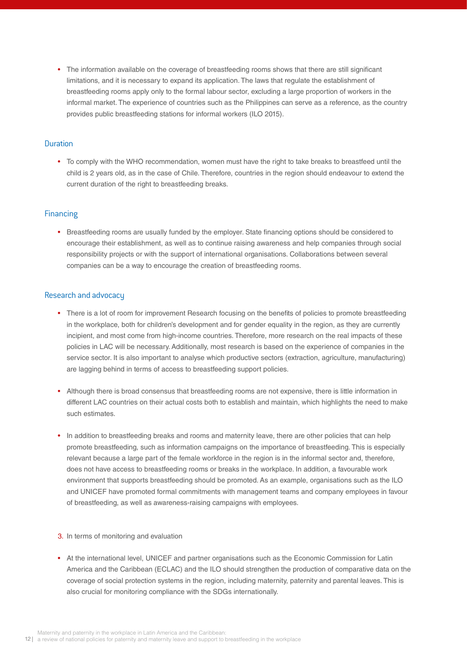• The information available on the coverage of breastfeeding rooms shows that there are still significant limitations, and it is necessary to expand its application. The laws that regulate the establishment of breastfeeding rooms apply only to the formal labour sector, excluding a large proportion of workers in the informal market. The experience of countries such as the Philippines can serve as a reference, as the country provides public breastfeeding stations for informal workers (ILO 2015).

### Duration

• To comply with the WHO recommendation, women must have the right to take breaks to breastfeed until the child is 2 years old, as in the case of Chile. Therefore, countries in the region should endeavour to extend the current duration of the right to breastfeeding breaks.

## Financing

• Breastfeeding rooms are usually funded by the employer. State financing options should be considered to encourage their establishment, as well as to continue raising awareness and help companies through social responsibility projects or with the support of international organisations. Collaborations between several companies can be a way to encourage the creation of breastfeeding rooms.

#### Research and advocacy

- There is a lot of room for improvement Research focusing on the benefits of policies to promote breastfeeding in the workplace, both for children's development and for gender equality in the region, as they are currently incipient, and most come from high-income countries. Therefore, more research on the real impacts of these policies in LAC will be necessary. Additionally, most research is based on the experience of companies in the service sector. It is also important to analyse which productive sectors (extraction, agriculture, manufacturing) are lagging behind in terms of access to breastfeeding support policies.
- Although there is broad consensus that breastfeeding rooms are not expensive, there is little information in different LAC countries on their actual costs both to establish and maintain, which highlights the need to make such estimates.
- In addition to breastfeeding breaks and rooms and maternity leave, there are other policies that can help promote breastfeeding, such as information campaigns on the importance of breastfeeding. This is especially relevant because a large part of the female workforce in the region is in the informal sector and, therefore, does not have access to breastfeeding rooms or breaks in the workplace. In addition, a favourable work environment that supports breastfeeding should be promoted. As an example, organisations such as the ILO and UNICEF have promoted formal commitments with management teams and company employees in favour of breastfeeding, as well as awareness-raising campaigns with employees.
- 3. In terms of monitoring and evaluation
- At the international level, UNICEF and partner organisations such as the Economic Commission for Latin America and the Caribbean (ECLAC) and the ILO should strengthen the production of comparative data on the coverage of social protection systems in the region, including maternity, paternity and parental leaves. This is also crucial for monitoring compliance with the SDGs internationally.

12 | a review of national policies for paternity and maternity leave and support to breastfeeding in the workplace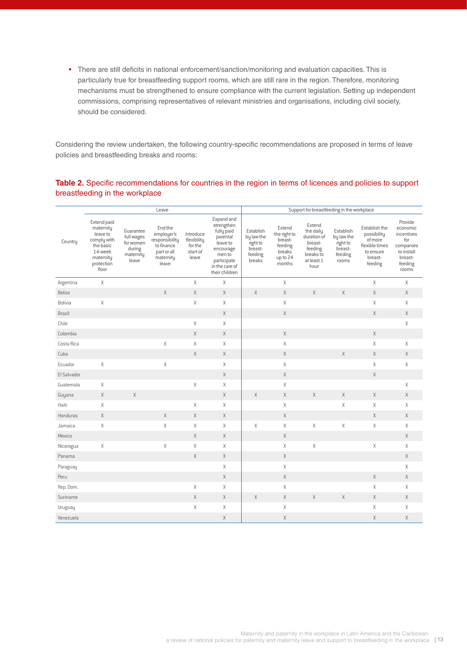• There are still deficits in national enforcement/sanction/monitoring and evaluation capacities. This is particularly true for breastfeeding support rooms, which are still rare in the region. Therefore, monitoring mechanisms must be strengthened to ensure compliance with the current legislation. Setting up independent commissions, comprising representatives of relevant ministries and organisations, including civil society, should be considered.

Considering the review undertaken, the following country-specific recommendations are proposed in terms of leave policies and breastfeeding breaks and rooms:

## **Table 2.** Specific recommendations for countries in the region in terms of licences and policies to support breastfeeding in the workplace

|             | Leave                                                                                                           |                                                                      |                                                                                            |                                                          |                                                                                                                                          | Support for breastfeeding in the workplace                          |                                                                              |                                                                                             |                                                                    |                                                                                              |                                                                                                    |
|-------------|-----------------------------------------------------------------------------------------------------------------|----------------------------------------------------------------------|--------------------------------------------------------------------------------------------|----------------------------------------------------------|------------------------------------------------------------------------------------------------------------------------------------------|---------------------------------------------------------------------|------------------------------------------------------------------------------|---------------------------------------------------------------------------------------------|--------------------------------------------------------------------|----------------------------------------------------------------------------------------------|----------------------------------------------------------------------------------------------------|
| Country     | Extend paid<br>maternity<br>leave to<br>comply with<br>the basic<br>14-week<br>maternity<br>protection<br>floor | Guarantee<br>full wages<br>for women<br>during<br>maternity<br>leave | End the<br>employer's<br>responsibility<br>to finance<br>part or all<br>maternity<br>leave | Introduce<br>flexibility<br>for the<br>start of<br>leave | Expand and<br>strengthen<br>fully paid<br>parental<br>leave to<br>encourage<br>men to<br>participate<br>in the care of<br>their children | Establish<br>by law the<br>right to<br>breast-<br>feeding<br>breaks | Extend<br>the right to<br>breast-<br>feeding<br>breaks<br>up to 24<br>months | Extend<br>the daily<br>duration of<br>breast-<br>feeding<br>breaks to<br>at least 1<br>hour | Establish<br>by law the<br>right to<br>breast-<br>feeding<br>rooms | Establish the<br>possibility<br>of more<br>flexible times<br>to ensure<br>breast-<br>feeding | Provide<br>economic<br>incentives<br>for<br>companies<br>to install<br>breast-<br>feeding<br>rooms |
| Argentina   | $\mathsf X$                                                                                                     |                                                                      |                                                                                            | Χ                                                        | Χ                                                                                                                                        |                                                                     | $\mathsf X$                                                                  |                                                                                             |                                                                    | X                                                                                            | $\mathsf X$                                                                                        |
| Belize      |                                                                                                                 |                                                                      | $\mathsf X$                                                                                | $\mathsf X$                                              | $\chi$                                                                                                                                   | $\chi$                                                              | $\chi$                                                                       | $\chi$                                                                                      | $\mathsf X$                                                        | $\mathsf X$                                                                                  | $\mathsf X$                                                                                        |
| Bolivia     | Χ                                                                                                               |                                                                      |                                                                                            | Χ                                                        | Χ                                                                                                                                        |                                                                     | $\mathsf X$                                                                  |                                                                                             |                                                                    | X                                                                                            | $\mathsf X$                                                                                        |
| Brazil      |                                                                                                                 |                                                                      |                                                                                            |                                                          | $\mathsf X$                                                                                                                              |                                                                     | $\chi$                                                                       |                                                                                             |                                                                    | X                                                                                            | $\times$                                                                                           |
| Chile       |                                                                                                                 |                                                                      |                                                                                            | Χ                                                        | Χ                                                                                                                                        |                                                                     |                                                                              |                                                                                             |                                                                    |                                                                                              | Χ                                                                                                  |
| Colombia    |                                                                                                                 |                                                                      |                                                                                            | $\mathsf X$                                              | $\chi$                                                                                                                                   |                                                                     | $\mathsf X$                                                                  |                                                                                             |                                                                    | $\mathsf X$                                                                                  |                                                                                                    |
| Costa Rica  |                                                                                                                 |                                                                      | $\mathsf X$                                                                                | Χ                                                        | Χ                                                                                                                                        |                                                                     | $\mathsf X$                                                                  |                                                                                             |                                                                    | $\mathsf X$                                                                                  | $\mathsf X$                                                                                        |
| Cuba        |                                                                                                                 |                                                                      |                                                                                            | $\mathsf X$                                              | $\chi$                                                                                                                                   |                                                                     | X                                                                            |                                                                                             | $\chi$                                                             | $\times$                                                                                     | $\chi$                                                                                             |
| Ecuador     | $\mathsf X$                                                                                                     |                                                                      | $\mathsf X$                                                                                |                                                          | Χ                                                                                                                                        |                                                                     | Χ                                                                            |                                                                                             |                                                                    | X                                                                                            | X                                                                                                  |
| El Salvador |                                                                                                                 |                                                                      |                                                                                            |                                                          | Χ                                                                                                                                        |                                                                     | $\chi$                                                                       |                                                                                             |                                                                    | $\mathsf X$                                                                                  |                                                                                                    |
| Guatemala   | Χ                                                                                                               |                                                                      |                                                                                            | Χ                                                        | Χ                                                                                                                                        |                                                                     | Χ                                                                            |                                                                                             |                                                                    |                                                                                              | X                                                                                                  |
| Guyana      | $\chi$                                                                                                          | $\mathsf X$                                                          |                                                                                            |                                                          | $\mathsf X$                                                                                                                              | X                                                                   | $\mathsf X$                                                                  | $\chi$                                                                                      | $\chi$                                                             | $\times$                                                                                     | $\mathsf X$                                                                                        |
| Haiti       | Χ                                                                                                               |                                                                      |                                                                                            | Χ                                                        | Χ                                                                                                                                        |                                                                     | Χ                                                                            |                                                                                             | Χ                                                                  | X                                                                                            | $\mathsf X$                                                                                        |
| Honduras    | Χ                                                                                                               |                                                                      | $\mathsf X$                                                                                | $\mathsf X$                                              | $\mathsf X$                                                                                                                              |                                                                     | $\mathsf X$                                                                  |                                                                                             |                                                                    | $\times$                                                                                     | $\times$                                                                                           |
| Jamaica     | Χ                                                                                                               |                                                                      | Χ                                                                                          | Χ                                                        | Χ                                                                                                                                        | Χ                                                                   | Χ                                                                            | Χ                                                                                           | Χ                                                                  | Χ                                                                                            | $\mathsf X$                                                                                        |
| Mexico      |                                                                                                                 |                                                                      |                                                                                            | $\mathsf X$                                              | $\mathsf X$                                                                                                                              |                                                                     | $\mathsf X$                                                                  |                                                                                             |                                                                    |                                                                                              | $\mathsf X$                                                                                        |
| Nicaragua   | Χ                                                                                                               |                                                                      | $\mathsf X$                                                                                | Χ                                                        | Χ                                                                                                                                        |                                                                     | $\mathsf X$                                                                  | $\chi$                                                                                      |                                                                    | $\mathsf X$                                                                                  | $\mathsf X$                                                                                        |
| Panama      |                                                                                                                 |                                                                      |                                                                                            | $\mathsf X$                                              | $\chi$                                                                                                                                   |                                                                     | X                                                                            |                                                                                             |                                                                    |                                                                                              | $\mathsf X$                                                                                        |
| Paraguay    |                                                                                                                 |                                                                      |                                                                                            |                                                          | Χ                                                                                                                                        |                                                                     | $\chi$                                                                       |                                                                                             |                                                                    |                                                                                              | X                                                                                                  |
| Peru        |                                                                                                                 |                                                                      |                                                                                            |                                                          | $\chi$                                                                                                                                   |                                                                     | $\mathsf X$                                                                  |                                                                                             |                                                                    | $\mathsf X$                                                                                  | $\mathsf X$                                                                                        |
| Rep. Dom.   |                                                                                                                 |                                                                      |                                                                                            | Χ                                                        | Χ                                                                                                                                        |                                                                     | $\chi$                                                                       |                                                                                             |                                                                    | X                                                                                            | X                                                                                                  |
| Suriname    |                                                                                                                 |                                                                      |                                                                                            | $\mathsf X$                                              | $\mathsf X$                                                                                                                              | $\times$                                                            | $\mathsf X$                                                                  | $\mathsf X$                                                                                 | $\mathsf X$                                                        | $\times$                                                                                     | X                                                                                                  |
| Uruguay     |                                                                                                                 |                                                                      |                                                                                            | Χ                                                        | Χ                                                                                                                                        |                                                                     | $\chi$                                                                       |                                                                                             |                                                                    | Χ                                                                                            | Χ                                                                                                  |
| Venezuela   |                                                                                                                 |                                                                      |                                                                                            |                                                          | $\mathsf X$                                                                                                                              |                                                                     | Χ                                                                            |                                                                                             |                                                                    | $\mathsf X$                                                                                  | $\mathsf X$                                                                                        |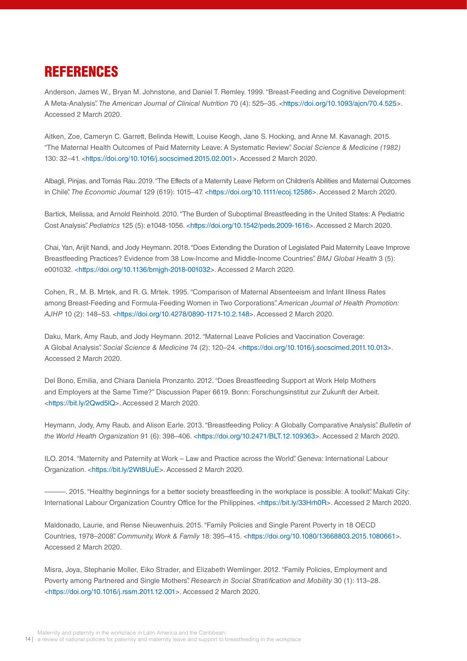## REFERENCES

Anderson, James W., Bryan M. Johnstone, and Daniel T. Remley. 1999. "Breast-Feeding and Cognitive Development: A Meta-Analysis". *The American Journal of Clinical Nutrition* 70 (4): 525–35. [<https://doi.org/10.1093/ajcn/70.4.525>](https://doi.org/10.1093/ajcn/70.4.525). Accessed 2 March 2020.

Aitken, Zoe, Cameryn C. Garrett, Belinda Hewitt, Louise Keogh, Jane S. Hocking, and Anne M. Kavanagh. 2015. "The Maternal Health Outcomes of Paid Maternity Leave: A Systematic Review". *Social Science & Medicine (1982)* 130: 32–41. [<https://doi.org/10.1016/j.socscimed.2015.02.001>](https://doi.org/10.1016/j.socscimed.2015.02.001). Accessed 2 March 2020.

Albagli, Pinjas, and Tomás Rau. 2019. "The Effects of a Maternity Leave Reform on Children's Abilities and Maternal Outcomes in Chile". *The Economic Journal* 129 (619): 1015–47. [<https://doi.org/10.1111/ecoj.12586](https://doi.org/10.1111/ecoj.12586)>. Accessed 2 March 2020.

Bartick, Melissa, and Arnold Reinhold. 2010. "The Burden of Suboptimal Breastfeeding in the United States: A Pediatric Cost Analysis". *Pediatrics* 125 (5): e1048-1056. <<https://doi.org/10.1542/peds.2009-1616>>. Accessed 2 March 2020.

Chai, Yan, Arijit Nandi, and Jody Heymann. 2018. "Does Extending the Duration of Legislated Paid Maternity Leave Improve Breastfeeding Practices? Evidence from 38 Low-Income and Middle-Income Countries". *BMJ Global Health* 3 (5): e001032. [<https://doi.org/10.1136/bmjgh-2018-001032](https://doi.org/10.1136/bmjgh-2018-001032)>. Accessed 2 March 2020.

Cohen, R., M. B. Mrtek, and R. G. Mrtek. 1995. "Comparison of Maternal Absenteeism and Infant Illness Rates among Breast-Feeding and Formula-Feeding Women in Two Corporations". *American Journal of Health Promotion: AJHP* 10 (2): 148–53. [<https://doi.org/10.4278/0890-1171-10.2.148>](https://doi.org/10.4278/0890-1171-10.2.148). Accessed 2 March 2020.

Daku, Mark, Amy Raub, and Jody Heymann. 2012. "Maternal Leave Policies and Vaccination Coverage: A Global Analysis". *Social Science & Medicine* 74 (2): 120–24. [<https://doi.org/10.1016/j.socscimed.2011.10.013>](https://doi.org/10.1016/j.socscimed.2011.10.013). Accessed 2 March 2020.

Del Bono, Emilia, and Chiara Daniela Pronzanto. 2012. "Does Breastfeeding Support at Work Help Mothers and Employers at the Same Time?" Discussion Paper 6619. Bonn: Forschungsinstitut zur Zukunft der Arbeit. <[https://bit.ly/2Qwd5lQ>](https://bit.ly/2Qwd5lQ). Accessed 2 March 2020.

Heymann, Jody, Amy Raub, and Alison Earle. 2013. "Breastfeeding Policy: A Globally Comparative Analysis". *Bulletin of the World Health Organization* 91 (6): 398–406. [<https://doi.org/10.2471/BLT.12.109363>](https://doi.org/10.2471/BLT.12.109363). Accessed 2 March 2020.

ILO. 2014. "Maternity and Paternity at Work – Law and Practice across the World". Geneva: International Labour Organization. [<https://bit.ly/2Wt8UuE](https://bit.ly/2Wt8UuE)>. Accessed 2 March 2020.

-. 2015. "Healthy beginnings for a better society breastfeeding in the workplace is possible: A toolkit". Makati City: International Labour Organization Country Office for the Philippines. <<https://bit.ly/33Hrh0R>>. Accessed 2 March 2020.

Maldonado, Laurie, and Rense Nieuwenhuis. 2015. "Family Policies and Single Parent Poverty in 18 OECD Countries, 1978–2008". *Community, Work & Family* 18: 395–415. <[https://doi.org/10.1080/13668803.2015.1080661>](https://doi.org/10.1080/13668803.2015.1080661). Accessed 2 March 2020.

Misra, Joya, Stephanie Moller, Eiko Strader, and Elizabeth Wemlinger. 2012. "Family Policies, Employment and Poverty among Partnered and Single Mothers". *Research in Social Stratification and Mobility* 30 (1): 113–28. <[https://doi.org/10.1016/j.rssm.2011.12.001>](https://doi.org/10.1016/j.rssm.2011.12.001). Accessed 2 March 2020.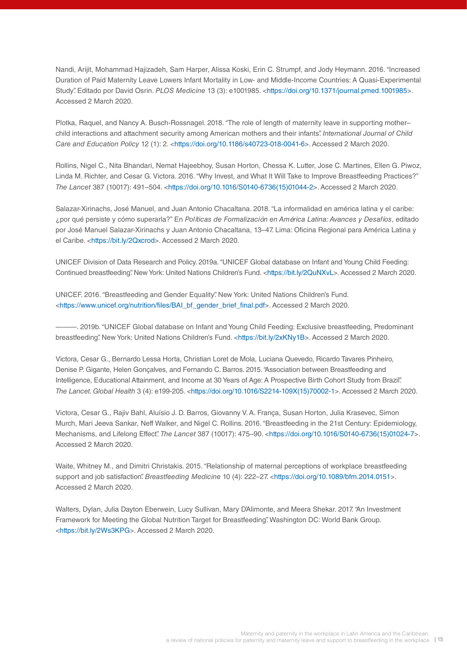Nandi, Arijit, Mohammad Hajizadeh, Sam Harper, Alissa Koski, Erin C. Strumpf, and Jody Heymann. 2016. "Increased Duration of Paid Maternity Leave Lowers Infant Mortality in Low- and Middle-Income Countries: A Quasi-Experimental Study". Editado por David Osrin. *PLOS Medicine* 13 (3): e1001985. [<https://doi.org/10.1371/journal.pmed.1001985](https://doi.org/10.1371/journal.pmed.1001985)>. Accessed 2 March 2020.

Plotka, Raquel, and Nancy A. Busch-Rossnagel. 2018. "The role of length of maternity leave in supporting mother– child interactions and attachment security among American mothers and their infants". *International Journal of Child Care and Education Policy* 12 (1): 2. [<https://doi.org/10.1186/s40723-018-0041-6>](https://doi.org/10.1186/s40723-018-0041-6). Accessed 2 March 2020.

Rollins, Nigel C., Nita Bhandari, Nemat Hajeebhoy, Susan Horton, Chessa K. Lutter, Jose C. Martines, Ellen G. Piwoz, Linda M. Richter, and Cesar G. Victora. 2016. "Why Invest, and What It Will Take to Improve Breastfeeding Practices?" *The Lancet* 387 (10017): 491–504. [<https://doi.org/10.1016/S0140-6736\(15\)01044-2](https://doi.org/10.1016/S0140-6736(15)01044-2)>. Accessed 2 March 2020.

Salazar-Xirinachs, José Manuel, and Juan Antonio Chacaltana. 2018. "La informalidad en américa latina y el caribe: ¿por qué persiste y cómo superarla?" En *Políticas de Formalización en América Latina: Avances y Desafíos*, editado por José Manuel Salazar-Xirinachs y Juan Antonio Chacaltana, 13–47. Lima: Oficina Regional para América Latina y el Caribe. [<https://bit.ly/2Qxcrod](https://bit.ly/2Qxcrod)>. Accessed 2 March 2020.

UNICEF Division of Data Research and Policy. 2019a. "UNICEF Global database on Infant and Young Child Feeding: Continued breastfeeding". New York: United Nations Children's Fund. <<https://bit.ly/2QuNXvL>>. Accessed 2 March 2020.

UNICEF. 2016. "Breastfeeding and Gender Equality". New York: United Nations Children's Fund. [<https://www.unicef.org/nutrition/files/BAI\\_bf\\_gender\\_brief\\_final.pdf>](https://www.unicef.org/nutrition/files/BAI_bf_gender_brief_final.pdf). Accessed 2 March 2020.

———. 2019b. "UNICEF Global database on Infant and Young Child Feeding: Exclusive breastfeeding, Predominant breastfeeding". New York: United Nations Children's Fund. <[https://bit.ly/2xKNy1B>](https://bit.ly/2xKNy1B). Accessed 2 March 2020.

Victora, Cesar G., Bernardo Lessa Horta, Christian Loret de Mola, Luciana Quevedo, Ricardo Tavares Pinheiro, Denise P. Gigante, Helen Gonçalves, and Fernando C. Barros. 2015. "Association between Breastfeeding and Intelligence, Educational Attainment, and Income at 30 Years of Age: A Prospective Birth Cohort Study from Brazil". *The Lancet. Global Health* 3 (4): e199-205. <[https://doi.org/10.1016/S2214-109X\(15\)70002-1>](https://doi.org/10.1016/S2214-109X(15)70002-1). Accessed 2 March 2020.

Victora, Cesar G., Rajiv Bahl, Aluísio J. D. Barros, Giovanny V. A. França, Susan Horton, Julia Krasevec, Simon Murch, Mari Jeeva Sankar, Neff Walker, and Nigel C. Rollins. 2016. "Breastfeeding in the 21st Century: Epidemiology, Mechanisms, and Lifelong Effect". *The Lancet* 387 (10017): 475–90. [<https://doi.org/10.1016/S0140-6736\(15\)01024-7](https://doi.org/10.1016/S0140-6736(15)01024-7)>. Accessed 2 March 2020.

Waite, Whitney M., and Dimitri Christakis. 2015. "Relationship of maternal perceptions of workplace breastfeeding support and job satisfaction". *Breastfeeding Medicine* 10 (4): 222–27. <<https://doi.org/10.1089/bfm.2014.0151>>. Accessed 2 March 2020.

Walters, Dylan, Julia Dayton Eberwein, Lucy Sullivan, Mary D'Alimonte, and Meera Shekar. 2017. "An Investment Framework for Meeting the Global Nutrition Target for Breastfeeding". Washington DC: World Bank Group. [<https://bit.ly/2Ws3KPG>](https://bit.ly/2Ws3KPG). Accessed 2 March 2020.